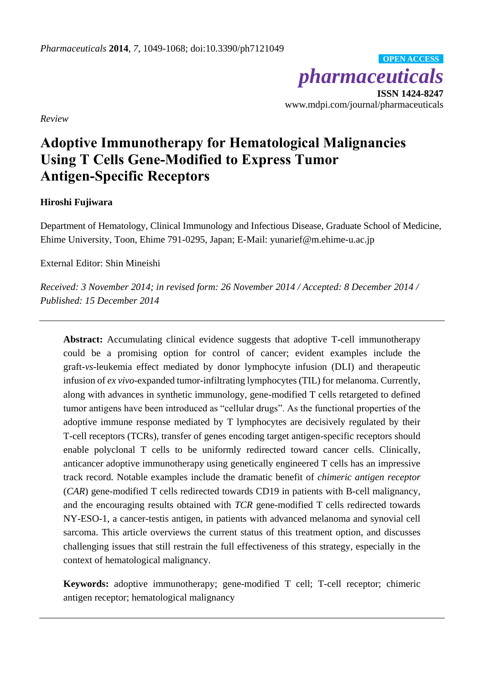*pharmaceuticals* **ISSN 1424-8247** www.mdpi.com/journal/pharmaceuticals **OPEN ACCESS**

*Review*

# **Adoptive Immunotherapy for Hematological Malignancies Using T Cells Gene-Modified to Express Tumor Antigen-Specific Receptors**

## **Hiroshi Fujiwara**

Department of Hematology, Clinical Immunology and Infectious Disease, Graduate School of Medicine, Ehime University, Toon, Ehime 791-0295, Japan; E-Mail: yunarief@m.ehime-u.ac.jp

External Editor: Shin Mineishi

*Received: 3 November 2014; in revised form: 26 November 2014 / Accepted: 8 December 2014 / Published: 15 December 2014*

**Abstract:** Accumulating clinical evidence suggests that adoptive T-cell immunotherapy could be a promising option for control of cancer; evident examples include the graft-*vs*-leukemia effect mediated by donor lymphocyte infusion (DLI) and therapeutic infusion of *ex vivo-*expanded tumor-infiltrating lymphocytes (TIL) for melanoma. Currently, along with advances in synthetic immunology, gene-modified T cells retargeted to defined tumor antigens have been introduced as "cellular drugs". As the functional properties of the adoptive immune response mediated by T lymphocytes are decisively regulated by their T-cell receptors (TCRs), transfer of genes encoding target antigen-specific receptors should enable polyclonal T cells to be uniformly redirected toward cancer cells. Clinically, anticancer adoptive immunotherapy using genetically engineered T cells has an impressive track record. Notable examples include the dramatic benefit of *chimeric antigen receptor* (*CAR*) gene-modified T cells redirected towards CD19 in patients with B-cell malignancy, and the encouraging results obtained with *TCR* gene-modified T cells redirected towards NY-ESO-1, a cancer-testis antigen, in patients with advanced melanoma and synovial cell sarcoma. This article overviews the current status of this treatment option, and discusses challenging issues that still restrain the full effectiveness of this strategy, especially in the context of hematological malignancy.

**Keywords:** adoptive immunotherapy; gene-modified T cell; T-cell receptor; chimeric antigen receptor; hematological malignancy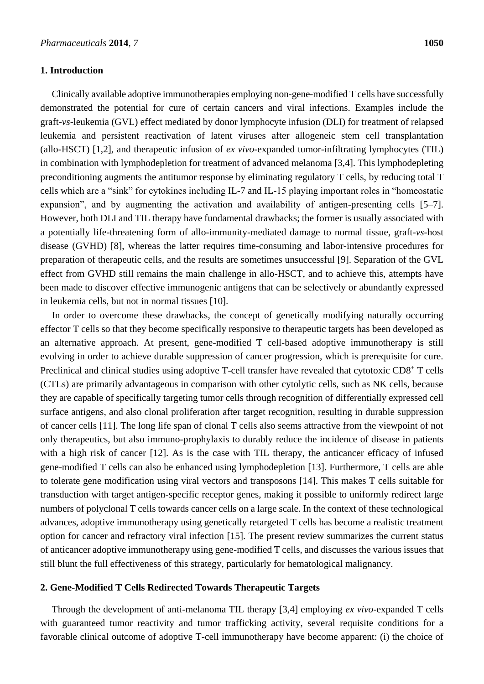#### **1. Introduction**

Clinically available adoptive immunotherapies employing non-gene-modified T cells have successfully demonstrated the potential for cure of certain cancers and viral infections. Examples include the graft-*vs*-leukemia (GVL) effect mediated by donor lymphocyte infusion (DLI) for treatment of relapsed leukemia and persistent reactivation of latent viruses after allogeneic stem cell transplantation (allo-HSCT) [1,2], and therapeutic infusion of *ex vivo*-expanded tumor-infiltrating lymphocytes (TIL) in combination with lymphodepletion for treatment of advanced melanoma [3,4]. This lymphodepleting preconditioning augments the antitumor response by eliminating regulatory T cells, by reducing total T cells which are a "sink" for cytokines including IL-7 and IL-15 playing important roles in "homeostatic expansion", and by augmenting the activation and availability of antigen-presenting cells [5–7]. However, both DLI and TIL therapy have fundamental drawbacks; the former is usually associated with a potentially life-threatening form of allo-immunity-mediated damage to normal tissue, graft-*vs*-host disease (GVHD) [8], whereas the latter requires time-consuming and labor-intensive procedures for preparation of therapeutic cells, and the results are sometimes unsuccessful [9]. Separation of the GVL effect from GVHD still remains the main challenge in allo-HSCT, and to achieve this, attempts have been made to discover effective immunogenic antigens that can be selectively or abundantly expressed in leukemia cells, but not in normal tissues [10].

In order to overcome these drawbacks, the concept of genetically modifying naturally occurring effector T cells so that they become specifically responsive to therapeutic targets has been developed as an alternative approach. At present, gene-modified T cell-based adoptive immunotherapy is still evolving in order to achieve durable suppression of cancer progression, which is prerequisite for cure. Preclinical and clinical studies using adoptive T-cell transfer have revealed that cytotoxic CD8<sup>+</sup> T cells (CTLs) are primarily advantageous in comparison with other cytolytic cells, such as NK cells, because they are capable of specifically targeting tumor cells through recognition of differentially expressed cell surface antigens, and also clonal proliferation after target recognition, resulting in durable suppression of cancer cells [11]. The long life span of clonal T cells also seems attractive from the viewpoint of not only therapeutics, but also immuno-prophylaxis to durably reduce the incidence of disease in patients with a high risk of cancer [12]. As is the case with TIL therapy, the anticancer efficacy of infused gene-modified T cells can also be enhanced using lymphodepletion [13]. Furthermore, T cells are able to tolerate gene modification using viral vectors and transposons [14]. This makes T cells suitable for transduction with target antigen-specific receptor genes, making it possible to uniformly redirect large numbers of polyclonal T cells towards cancer cells on a large scale. In the context of these technological advances, adoptive immunotherapy using genetically retargeted T cells has become a realistic treatment option for cancer and refractory viral infection [15]. The present review summarizes the current status of anticancer adoptive immunotherapy using gene-modified T cells, and discusses the various issues that still blunt the full effectiveness of this strategy, particularly for hematological malignancy.

#### **2. Gene-Modified T Cells Redirected Towards Therapeutic Targets**

Through the development of anti-melanoma TIL therapy [3,4] employing *ex vivo*-expanded T cells with guaranteed tumor reactivity and tumor trafficking activity, several requisite conditions for a favorable clinical outcome of adoptive T-cell immunotherapy have become apparent: (i) the choice of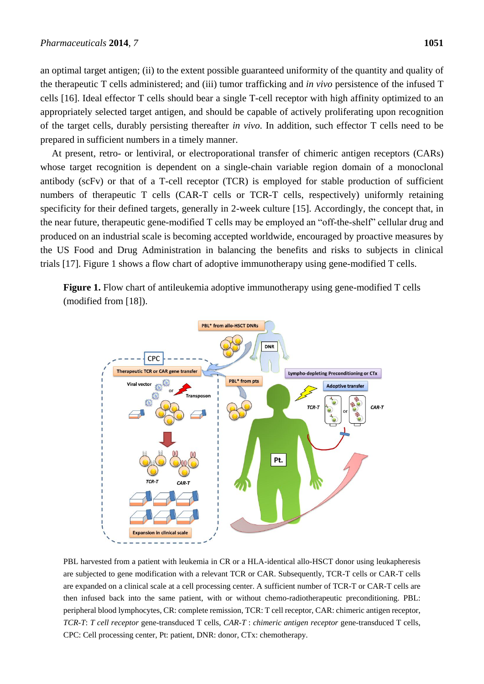an optimal target antigen; (ii) to the extent possible guaranteed uniformity of the quantity and quality of the therapeutic T cells administered; and (iii) tumor trafficking and *in vivo* persistence of the infused T cells [16]. Ideal effector T cells should bear a single T-cell receptor with high affinity optimized to an appropriately selected target antigen, and should be capable of actively proliferating upon recognition of the target cells, durably persisting thereafter *in vivo*. In addition, such effector T cells need to be prepared in sufficient numbers in a timely manner.

At present, retro- or lentiviral, or electroporational transfer of chimeric antigen receptors (CARs) whose target recognition is dependent on a single-chain variable region domain of a monoclonal antibody (scFv) or that of a T-cell receptor (TCR) is employed for stable production of sufficient numbers of therapeutic T cells (CAR-T cells or TCR-T cells, respectively) uniformly retaining specificity for their defined targets, generally in 2-week culture [15]. Accordingly, the concept that, in the near future, therapeutic gene-modified T cells may be employed an "off-the-shelf" cellular drug and produced on an industrial scale is becoming accepted worldwide, encouraged by proactive measures by the US Food and Drug Administration in balancing the benefits and risks to subjects in clinical trials [17]. Figure 1 shows a flow chart of adoptive immunotherapy using gene-modified T cells.

**Figure 1.** Flow chart of antileukemia adoptive immunotherapy using gene-modified T cells (modified from [18]).



PBL harvested from a patient with leukemia in CR or a HLA-identical allo-HSCT donor using leukapheresis are subjected to gene modification with a relevant TCR or CAR. Subsequently, TCR-T cells or CAR-T cells are expanded on a clinical scale at a cell processing center. A sufficient number of TCR-T or CAR-T cells are then infused back into the same patient, with or without chemo-radiotherapeutic preconditioning. PBL: peripheral blood lymphocytes, CR: complete remission, TCR: T cell receptor, CAR: chimeric antigen receptor, *TCR-T*: *T cell receptor* gene-transduced T cells, *CAR-T* : *chimeric antigen receptor* gene-transduced T cells, CPC: Cell processing center, Pt: patient, DNR: donor, CTx: chemotherapy.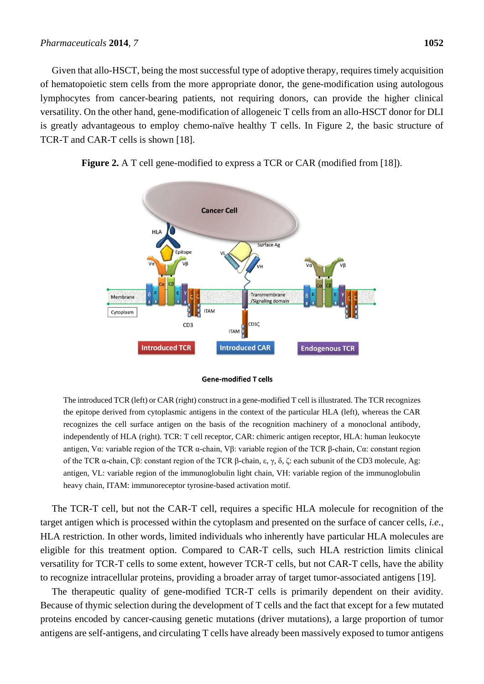Given that allo-HSCT, being the most successful type of adoptive therapy, requires timely acquisition of hematopoietic stem cells from the more appropriate donor, the gene-modification using autologous lymphocytes from cancer-bearing patients, not requiring donors, can provide the higher clinical versatility. On the other hand, gene-modification of allogeneic T cells from an allo-HSCT donor for DLI is greatly advantageous to employ chemo-na we healthy T cells. In Figure 2, the basic structure of TCR-T and CAR-T cells is shown [18].



**Figure 2.** A T cell gene-modified to express a TCR or CAR (modified from [18]).



The introduced TCR (left) or CAR (right) construct in a gene-modified T cell is illustrated. The TCR recognizes the epitope derived from cytoplasmic antigens in the context of the particular HLA (left), whereas the CAR recognizes the cell surface antigen on the basis of the recognition machinery of a monoclonal antibody, independently of HLA (right). TCR: T cell receptor, CAR: chimeric antigen receptor, HLA: human leukocyte antigen, Vα: variable region of the TCR α-chain, Vβ: variable region of the TCR β-chain, Cα: constant region of the TCR α-chain, Cβ: constant region of the TCR β-chain, ε, γ, δ, ζ: each subunit of the CD3 molecule, Ag: antigen, VL: variable region of the immunoglobulin light chain, VH: variable region of the immunoglobulin heavy chain, ITAM: immunoreceptor tyrosine-based activation motif.

The TCR-T cell, but not the CAR-T cell, requires a specific HLA molecule for recognition of the target antigen which is processed within the cytoplasm and presented on the surface of cancer cells, *i.e.*, HLA restriction. In other words, limited individuals who inherently have particular HLA molecules are eligible for this treatment option. Compared to CAR-T cells, such HLA restriction limits clinical versatility for TCR-T cells to some extent, however TCR-T cells, but not CAR-T cells, have the ability to recognize intracellular proteins, providing a broader array of target tumor-associated antigens [19].

The therapeutic quality of gene-modified TCR-T cells is primarily dependent on their avidity. Because of thymic selection during the development of T cells and the fact that except for a few mutated proteins encoded by cancer-causing genetic mutations (driver mutations), a large proportion of tumor antigens are self-antigens, and circulating T cells have already been massively exposed to tumor antigens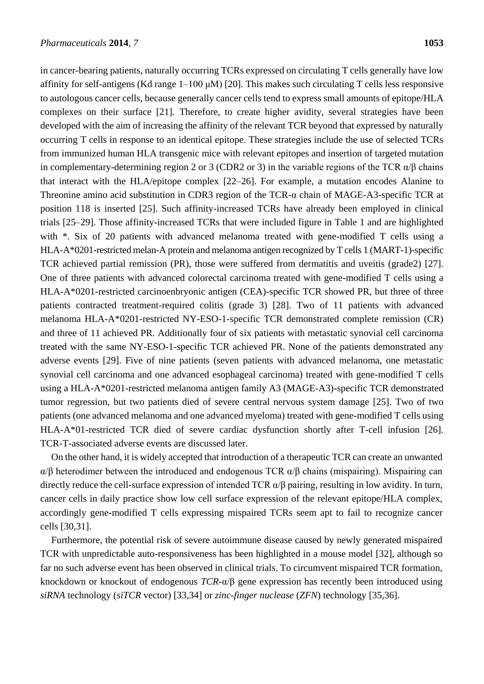in cancer-bearing patients, naturally occurring TCRs expressed on circulating T cells generally have low affinity for self-antigens (Kd range 1–100 μM) [20]. This makes such circulating T cells less responsive to autologous cancer cells, because generally cancer cells tend to express small amounts of epitope/HLA complexes on their surface [21]. Therefore, to create higher avidity, several strategies have been developed with the aim of increasing the affinity of the relevant TCR beyond that expressed by naturally occurring T cells in response to an identical epitope. These strategies include the use of selected TCRs from immunized human HLA transgenic mice with relevant epitopes and insertion of targeted mutation in complementary-determining region 2 or 3 (CDR2 or 3) in the variable regions of the TCR  $\alpha/\beta$  chains that interact with the HLA/epitope complex [22–26]. For example, a mutation encodes Alanine to Threonine amino acid substitution in CDR3 region of the TCR-α chain of MAGE-A3-specific TCR at position 118 is inserted [25]. Such affinity-increased TCRs have already been employed in clinical trials [25–29]. Those affinity-increased TCRs that were included figure in Table 1 and are highlighted with \*. Six of 20 patients with advanced melanoma treated with gene-modified T cells using a HLA-A\*0201-restricted melan-A protein and melanoma antigen recognized by T cells 1 (MART-1)-specific TCR achieved partial remission (PR), those were suffered from dermatitis and uveitis (grade2) [27]. One of three patients with advanced colorectal carcinoma treated with gene-modified T cells using a HLA-A\*0201-restricted carcinoenbryonic antigen (CEA)-specific TCR showed PR, but three of three patients contracted treatment-required colitis (grade 3) [28]. Two of 11 patients with advanced melanoma HLA-A\*0201-restricted NY-ESO-1-specific TCR demonstrated complete remission (CR) and three of 11 achieved PR. Additionally four of six patients with metastatic synovial cell carcinoma treated with the same NY-ESO-1-specific TCR achieved PR. None of the patients demonstrated any adverse events [29]. Five of nine patients (seven patients with advanced melanoma, one metastatic synovial cell carcinoma and one advanced esophageal carcinoma) treated with gene-modified T cells using a HLA-A\*0201-restricted melanoma antigen family A3 (MAGE-A3)-specific TCR demonstrated tumor regression, but two patients died of severe central nervous system damage [25]. Two of two patients (one advanced melanoma and one advanced myeloma) treated with gene-modified T cells using HLA-A\*01-restricted TCR died of severe cardiac dysfunction shortly after T-cell infusion [26]. TCR-T-associated adverse events are discussed later.

On the other hand, it is widely accepted that introduction of a therapeutic TCR can create an unwanted α/β heterodimer between the introduced and endogenous TCR α/β chains (mispairing). Mispairing can directly reduce the cell-surface expression of intended TCR α/β pairing, resulting in low avidity. In turn, cancer cells in daily practice show low cell surface expression of the relevant epitope/HLA complex, accordingly gene-modified T cells expressing mispaired TCRs seem apt to fail to recognize cancer cells [30,31].

Furthermore, the potential risk of severe autoimmune disease caused by newly generated mispaired TCR with unpredictable auto-responsiveness has been highlighted in a mouse model [32], although so far no such adverse event has been observed in clinical trials. To circumvent mispaired TCR formation, knockdown or knockout of endogenous *TCR*-α/β gene expression has recently been introduced using *siRNA* technology (*siTCR* vector) [33,34] or *zinc-finger nuclease* (*ZFN*) technology [35,36].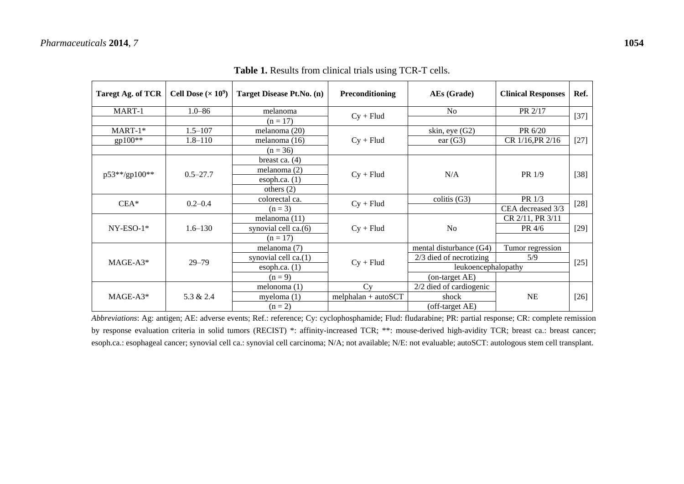| Taregt Ag. of TCR | Cell Dose $(\times 10^9)$ | Target Disease Pt.No. (n) | Preconditioning       | AEs (Grade)               | <b>Clinical Responses</b> | Ref.   |
|-------------------|---------------------------|---------------------------|-----------------------|---------------------------|---------------------------|--------|
| MART-1            | $1.0 - 86$                | melanoma                  | $Cy + Fluid$          | N <sub>o</sub>            | PR 2/17                   | $[37]$ |
|                   |                           | $(n = 17)$                |                       |                           |                           |        |
| $MART-1*$         | $1.5 - 107$               | melanoma $(20)$           |                       | skin, eye (G2)            | PR 6/20                   | $[27]$ |
| $gp100**$         | $1.8 - 110$               | melanoma (16)             | $Cy + Fluid$          | ear(G3)                   | CR 1/16, PR 2/16          |        |
|                   |                           | $(n = 36)$                |                       |                           |                           |        |
| p53**/gp100**     | $0.5 - 27.7$              | breast ca. $(4)$          | $Cy + Fluid$          | N/A                       | PR 1/9                    | $[38]$ |
|                   |                           | melanoma $(2)$            |                       |                           |                           |        |
|                   |                           | esoph.ca. $(1)$           |                       |                           |                           |        |
|                   |                           | others $(2)$              |                       |                           |                           |        |
| $CEA*$            | $0.2 - 0.4$               | colorectal ca.            | $Cy + Fluid$          | colitis $(G3)$            | PR 1/3                    | $[28]$ |
|                   |                           | $(n = 3)$                 |                       |                           | CEA decreased 3/3         |        |
| $NY-ESO-1*$       | $1.6 - 130$               | melanoma (11)             | $Cy + Fluid$          |                           | CR 2/11, PR 3/11          | $[29]$ |
|                   |                           | synovial cell ca.(6)      |                       | N <sub>o</sub>            | PR 4/6                    |        |
|                   |                           | $(n = 17)$                |                       |                           |                           |        |
| $MAGE-A3*$        | $29 - 79$                 | melanoma (7)              | $Cy + Fluid$          | mental disturbance (G4)   | Tumor regression          | $[25]$ |
|                   |                           | synovial cell ca.(1)      |                       | $2/3$ died of necrotizing | 5/9                       |        |
|                   |                           | esoph.ca. $(1)$           |                       | leukoencephalopathy       |                           |        |
|                   |                           | $(n=9)$                   |                       | (on-target AE)            |                           |        |
| $MAGE-A3*$        | 5.3 & 2.4                 | melonoma $(1)$            | Cv                    | 2/2 died of cardiogenic   |                           | $[26]$ |
|                   |                           | myeloma $(1)$             | $melphalan + autoSCT$ | shock                     | <b>NE</b>                 |        |
|                   |                           | $(n = 2)$                 |                       | (off-target AE)           |                           |        |

**Table 1.** Results from clinical trials using TCR-T cells.

*Abbreviations*: Ag: antigen; AE: adverse events; Ref.: reference; Cy: cyclophosphamide; Flud: fludarabine; PR: partial response; CR: complete remission by response evaluation criteria in solid tumors (RECIST) \*: affinity-increased TCR; \*\*: mouse-derived high-avidity TCR; breast ca.: breast cancer; esoph.ca.: esophageal cancer; synovial cell ca.: synovial cell carcinoma; N/A; not available; N/E: not evaluable; autoSCT: autologous stem cell transplant.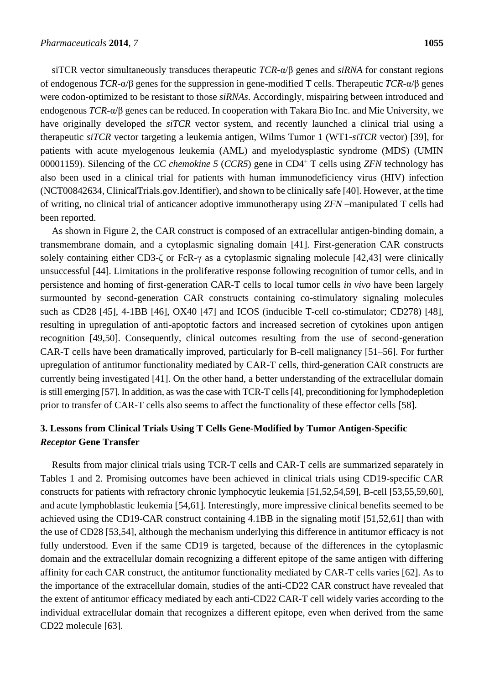siTCR vector simultaneously transduces therapeutic *TCR*-α/β genes and *siRNA* for constant regions of endogenous *TCR*-α/β genes for the suppression in gene-modified T cells. Therapeutic *TCR*-α/β genes were codon-optimized to be resistant to those *siRNAs*. Accordingly, mispairing between introduced and endogenous *TCR*-α/β genes can be reduced. In cooperation with Takara Bio Inc. and Mie University, we have originally developed the *siTCR* vector system, and recently launched a clinical trial using a therapeutic *siTCR* vector targeting a leukemia antigen, Wilms Tumor 1 (WT1-*siTCR* vector) [39], for patients with acute myelogenous leukemia (AML) and myelodysplastic syndrome (MDS) (UMIN 00001159). Silencing of the *CC chemokine 5* (*CCR5*) gene in CD4<sup>+</sup> T cells using *ZFN* technology has also been used in a clinical trial for patients with human immunodeficiency virus (HIV) infection (NCT00842634, ClinicalTrials.gov.Identifier), and shown to be clinically safe [40]. However, at the time of writing, no clinical trial of anticancer adoptive immunotherapy using *ZFN* –manipulated T cells had been reported.

As shown in Figure 2, the CAR construct is composed of an extracellular antigen-binding domain, a transmembrane domain, and a cytoplasmic signaling domain [41]. First-generation CAR constructs solely containing either CD3-ζ or FcR-γ as a cytoplasmic signaling molecule [42,43] were clinically unsuccessful [44]. Limitations in the proliferative response following recognition of tumor cells, and in persistence and homing of first-generation CAR-T cells to local tumor cells *in vivo* have been largely surmounted by second-generation CAR constructs containing co-stimulatory signaling molecules such as CD28 [45], 4-1BB [46], OX40 [47] and ICOS (inducible T-cell co-stimulator; CD278) [48], resulting in upregulation of anti-apoptotic factors and increased secretion of cytokines upon antigen recognition [49,50]. Consequently, clinical outcomes resulting from the use of second-generation CAR-T cells have been dramatically improved, particularly for B-cell malignancy [51–56]. For further upregulation of antitumor functionality mediated by CAR-T cells, third-generation CAR constructs are currently being investigated [41]. On the other hand, a better understanding of the extracellular domain is still emerging [57]. In addition, as was the case with TCR-T cells [4], preconditioning for lymphodepletion prior to transfer of CAR-T cells also seems to affect the functionality of these effector cells [58].

# **3. Lessons from Clinical Trials Using T Cells Gene-Modified by Tumor Antigen-Specific**  *Receptor* **Gene Transfer**

Results from major clinical trials using TCR-T cells and CAR-T cells are summarized separately in Tables 1 and 2. Promising outcomes have been achieved in clinical trials using CD19-specific CAR constructs for patients with refractory chronic lymphocytic leukemia [51,52,54,59], B-cell [53,55,59,60], and acute lymphoblastic leukemia [54,61]. Interestingly, more impressive clinical benefits seemed to be achieved using the CD19-CAR construct containing 4.1BB in the signaling motif [51,52,61] than with the use of CD28 [53,54], although the mechanism underlying this difference in antitumor efficacy is not fully understood. Even if the same CD19 is targeted, because of the differences in the cytoplasmic domain and the extracellular domain recognizing a different epitope of the same antigen with differing affinity for each CAR construct, the antitumor functionality mediated by CAR-T cells varies [62]. As to the importance of the extracellular domain, studies of the anti-CD22 CAR construct have revealed that the extent of antitumor efficacy mediated by each anti-CD22 CAR-T cell widely varies according to the individual extracellular domain that recognizes a different epitope, even when derived from the same CD22 molecule [63].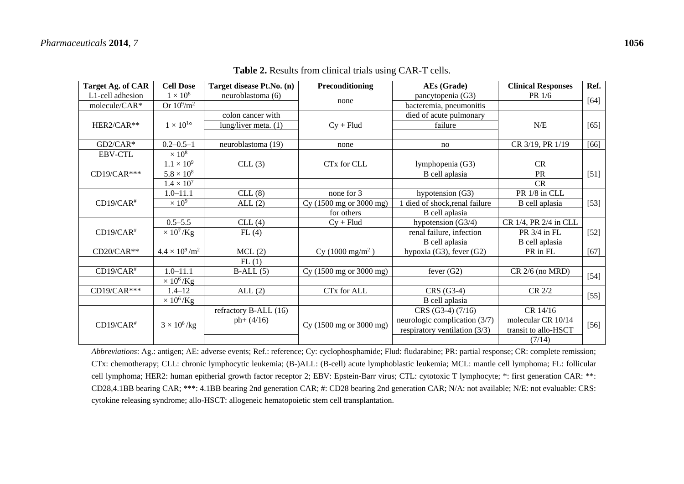| Target Ag. of CAR             | <b>Cell Dose</b>         | Target disease Pt.No. (n) | Preconditioning            | AEs (Grade)                     | <b>Clinical Responses</b> | Ref.   |
|-------------------------------|--------------------------|---------------------------|----------------------------|---------------------------------|---------------------------|--------|
| L <sub>1</sub> -cell adhesion | $1 \times 10^8$          | neuroblastoma (6)         |                            | pancytopenia (G3)               | PR 1/6                    |        |
| molecule/CAR*                 | Or $10^9/\overline{m^2}$ |                           | none                       | bacteremia, pneumonitis         |                           | $[64]$ |
| HER2/CAR**                    | $1 \times 10^{1}$        | colon cancer with         | $Cy + Flud$                | died of acute pulmonary         | $N/E$                     | $[65]$ |
|                               |                          | lung/liver meta. (1)      |                            | failure                         |                           |        |
|                               |                          |                           |                            |                                 |                           |        |
| GD2/CAR*                      | $0.2 - 0.5 - 1$          | neuroblastoma (19)        | none                       | no                              | CR 3/19, PR 1/19          | [66]   |
| <b>EBV-CTL</b>                | $\times 10^8$            |                           |                            |                                 |                           |        |
| CD19/CAR***                   | $1.1 \times 10^{9}$      | CLL(3)                    | CTx for CLL                | lymphopenia (G3)                | CR                        | $[51]$ |
|                               | $5.8 \times 10^8$        |                           |                            | B cell aplasia                  | PR                        |        |
|                               | $1.4 \times 10^{7}$      |                           |                            |                                 | <b>CR</b>                 |        |
|                               | $1.0 - 11.1$             | CLL(8)                    | none for 3                 | hypotension (G3)                | PR 1/8 in CLL             |        |
| $CD19/CAR$ <sup>#</sup>       | $\times 10^9$            | ALL(2)                    | Cy (1500 mg or 3000 mg)    | 1 died of shock, renal failure  | B cell aplasia            | $[53]$ |
|                               |                          |                           | for others                 | B cell aplasia                  |                           |        |
| $CD19/CAR$ <sup>#</sup>       | $0.5 - 5.5$              | CLL(4)                    | $Cy + Fluid$               | hypotension $(G3/4)$            | CR 1/4, PR 2/4 in CLL     |        |
|                               | $\times 10^7$ /Kg        | FL(4)                     |                            | renal failure, infection        | PR 3/4 in FL              | $[52]$ |
|                               |                          |                           |                            | B cell aplasia                  | B cell aplasia            |        |
| CD20/CAR**                    | $4.4 \times 10^9/m^2$    | MCL(2)                    | Cy $(1000 \text{ mg/m}^2)$ | hypoxia (G3), fever (G2)        | PR in FL                  | $[67]$ |
|                               |                          | FL(1)                     |                            |                                 |                           |        |
| $CD19/CAR$ #                  | $1.0 - 11.1$             | $B-ALL(5)$                | Cy(1500 mg or 3000 mg)     | fever $(G2)$                    | CR 2/6 (no MRD)           | $[54]$ |
|                               | $\times 10^6$ /Kg        |                           |                            |                                 |                           |        |
| CD19/CAR***                   | $1.4 - 12$               | ALL(2)                    | CTx for ALL                | CRS (G3-4)                      | CR 2/2                    | $[55]$ |
|                               | $\times 10^6$ /Kg        |                           |                            | B cell aplasia                  |                           |        |
| $CD19/CAR$ #                  | $3 \times 10^6$ /kg      | refractory B-ALL (16)     | Cy(1500 mg or 3000 mg)     | $CRS$ (G3-4) (7/16)             | CR 14/16                  | $[56]$ |
|                               |                          | $ph+(4/16)$               |                            | neurologic complication $(3/7)$ | molecular CR 10/14        |        |
|                               |                          |                           |                            | respiratory ventilation $(3/3)$ | transit to allo-HSCT      |        |
|                               |                          |                           |                            |                                 | (7/14)                    |        |

**Table 2.** Results from clinical trials using CAR-T cells.

*Abbreviations*: Ag.: antigen; AE: adverse events; Ref.: reference; Cy: cyclophosphamide; Flud: fludarabine; PR: partial response; CR: complete remission; CTx: chemotherapy; CLL: chronic lymphocytic leukemia; (B-)ALL: (B-cell) acute lymphoblastic leukemia; MCL: mantle cell lymphoma; FL: follicular cell lymphoma; HER2: human epitherial growth factor receptor 2; EBV: Epstein-Barr virus; CTL: cytotoxic T lymphocyte; \*: first generation CAR: \*\*: CD28,4.1BB bearing CAR; \*\*\*: 4.1BB bearing 2nd generation CAR; #: CD28 bearing 2nd generation CAR; N/A: not available; N/E: not evaluable: CRS: cytokine releasing syndrome; allo-HSCT: allogeneic hematopoietic stem cell transplantation.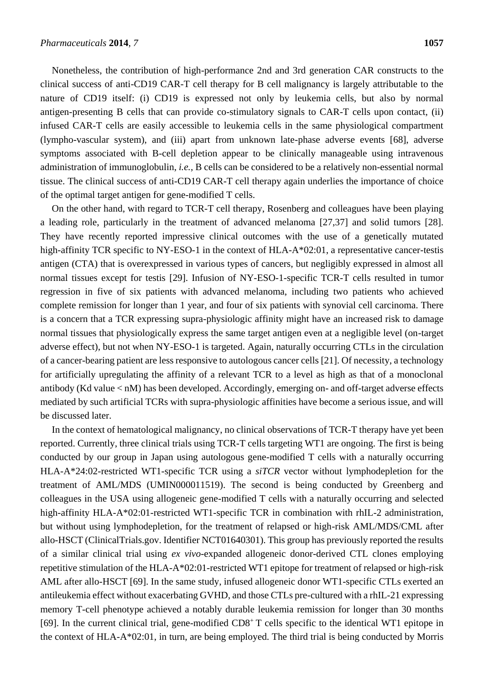Nonetheless, the contribution of high-performance 2nd and 3rd generation CAR constructs to the clinical success of anti-CD19 CAR-T cell therapy for B cell malignancy is largely attributable to the nature of CD19 itself: (i) CD19 is expressed not only by leukemia cells, but also by normal antigen-presenting B cells that can provide co-stimulatory signals to CAR-T cells upon contact, (ii) infused CAR-T cells are easily accessible to leukemia cells in the same physiological compartment (lympho-vascular system), and (iii) apart from unknown late-phase adverse events [68], adverse symptoms associated with B-cell depletion appear to be clinically manageable using intravenous administration of immunoglobulin, *i.e.*, B cells can be considered to be a relatively non-essential normal tissue. The clinical success of anti-CD19 CAR-T cell therapy again underlies the importance of choice of the optimal target antigen for gene-modified T cells.

On the other hand, with regard to TCR-T cell therapy, Rosenberg and colleagues have been playing a leading role, particularly in the treatment of advanced melanoma [27,37] and solid tumors [28]. They have recently reported impressive clinical outcomes with the use of a genetically mutated high-affinity TCR specific to NY-ESO-1 in the context of HLA-A\*02:01, a representative cancer-testis antigen (CTA) that is overexpressed in various types of cancers, but negligibly expressed in almost all normal tissues except for testis [29]. Infusion of NY-ESO-1-specific TCR-T cells resulted in tumor regression in five of six patients with advanced melanoma, including two patients who achieved complete remission for longer than 1 year, and four of six patients with synovial cell carcinoma. There is a concern that a TCR expressing supra-physiologic affinity might have an increased risk to damage normal tissues that physiologically express the same target antigen even at a negligible level (on-target adverse effect), but not when NY-ESO-1 is targeted. Again, naturally occurring CTLs in the circulation of a cancer-bearing patient are less responsive to autologous cancer cells [21]. Of necessity, a technology for artificially upregulating the affinity of a relevant TCR to a level as high as that of a monoclonal antibody (Kd value < nM) has been developed. Accordingly, emerging on- and off-target adverse effects mediated by such artificial TCRs with supra-physiologic affinities have become a serious issue, and will be discussed later.

In the context of hematological malignancy, no clinical observations of TCR-T therapy have yet been reported. Currently, three clinical trials using TCR-T cells targeting WT1 are ongoing. The first is being conducted by our group in Japan using autologous gene-modified T cells with a naturally occurring HLA-A\*24:02-restricted WT1-specific TCR using a *siTCR* vector without lymphodepletion for the treatment of AML/MDS (UMIN000011519). The second is being conducted by Greenberg and colleagues in the USA using allogeneic gene-modified T cells with a naturally occurring and selected high-affinity HLA-A\*02:01-restricted WT1-specific TCR in combination with rhIL-2 administration, but without using lymphodepletion, for the treatment of relapsed or high-risk AML/MDS/CML after allo-HSCT (ClinicalTrials.gov. Identifier NCT01640301). This group has previously reported the results of a similar clinical trial using *ex vivo*-expanded allogeneic donor-derived CTL clones employing repetitive stimulation of the HLA-A\*02:01-restricted WT1 epitope for treatment of relapsed or high-risk AML after allo-HSCT [69]. In the same study, infused allogeneic donor WT1-specific CTLs exerted an antileukemia effect without exacerbating GVHD, and those CTLs pre-cultured with a rhIL-21 expressing memory T-cell phenotype achieved a notably durable leukemia remission for longer than 30 months [69]. In the current clinical trial, gene-modified CD8<sup>+</sup> T cells specific to the identical WT1 epitope in the context of HLA-A\*02:01, in turn, are being employed. The third trial is being conducted by Morris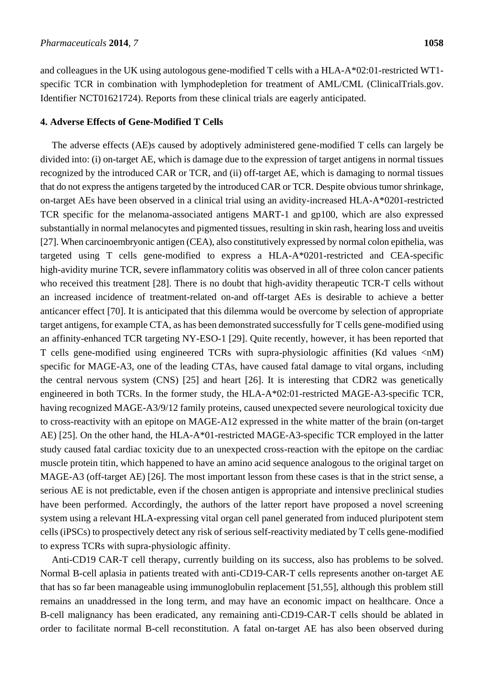and colleagues in the UK using autologous gene-modified T cells with a HLA-A\*02:01-restricted WT1 specific TCR in combination with lymphodepletion for treatment of AML/CML (ClinicalTrials.gov. Identifier NCT01621724). Reports from these clinical trials are eagerly anticipated.

#### **4. Adverse Effects of Gene-Modified T Cells**

The adverse effects (AE)s caused by adoptively administered gene-modified T cells can largely be divided into: (i) on-target AE, which is damage due to the expression of target antigens in normal tissues recognized by the introduced CAR or TCR, and (ii) off-target AE, which is damaging to normal tissues that do not express the antigens targeted by the introduced CAR or TCR. Despite obvious tumor shrinkage, on-target AEs have been observed in a clinical trial using an avidity-increased HLA-A\*0201-restricted TCR specific for the melanoma-associated antigens MART-1 and gp100, which are also expressed substantially in normal melanocytes and pigmented tissues, resulting in skin rash, hearing loss and uveitis [27]. When carcinoembryonic antigen (CEA), also constitutively expressed by normal colon epithelia, was targeted using T cells gene-modified to express a HLA-A\*0201-restricted and CEA-specific high-avidity murine TCR, severe inflammatory colitis was observed in all of three colon cancer patients who received this treatment [28]. There is no doubt that high-avidity therapeutic TCR-T cells without an increased incidence of treatment-related on-and off-target AEs is desirable to achieve a better anticancer effect [70]. It is anticipated that this dilemma would be overcome by selection of appropriate target antigens, for example CTA, as has been demonstrated successfully for T cells gene-modified using an affinity-enhanced TCR targeting NY-ESO-1 [29]. Quite recently, however, it has been reported that T cells gene-modified using engineered TCRs with supra-physiologic affinities (Kd values <nM) specific for MAGE-A3, one of the leading CTAs, have caused fatal damage to vital organs, including the central nervous system (CNS) [25] and heart [26]. It is interesting that CDR2 was genetically engineered in both TCRs. In the former study, the HLA-A\*02:01-restricted MAGE-A3-specific TCR, having recognized MAGE-A3/9/12 family proteins, caused unexpected severe neurological toxicity due to cross-reactivity with an epitope on MAGE-A12 expressed in the white matter of the brain (on-target AE) [25]. On the other hand, the HLA-A\*01-restricted MAGE-A3-specific TCR employed in the latter study caused fatal cardiac toxicity due to an unexpected cross-reaction with the epitope on the cardiac muscle protein titin, which happened to have an amino acid sequence analogous to the original target on MAGE-A3 (off-target AE) [26]. The most important lesson from these cases is that in the strict sense, a serious AE is not predictable, even if the chosen antigen is appropriate and intensive preclinical studies have been performed. Accordingly, the authors of the latter report have proposed a novel screening system using a relevant HLA-expressing vital organ cell panel generated from induced pluripotent stem cells (iPSCs) to prospectively detect any risk of serious self-reactivity mediated by T cells gene-modified to express TCRs with supra-physiologic affinity.

Anti-CD19 CAR-T cell therapy, currently building on its success, also has problems to be solved. Normal B-cell aplasia in patients treated with anti-CD19-CAR-T cells represents another on-target AE that has so far been manageable using immunoglobulin replacement [51,55], although this problem still remains an unaddressed in the long term, and may have an economic impact on healthcare. Once a B-cell malignancy has been eradicated, any remaining anti-CD19-CAR-T cells should be ablated in order to facilitate normal B-cell reconstitution. A fatal on-target AE has also been observed during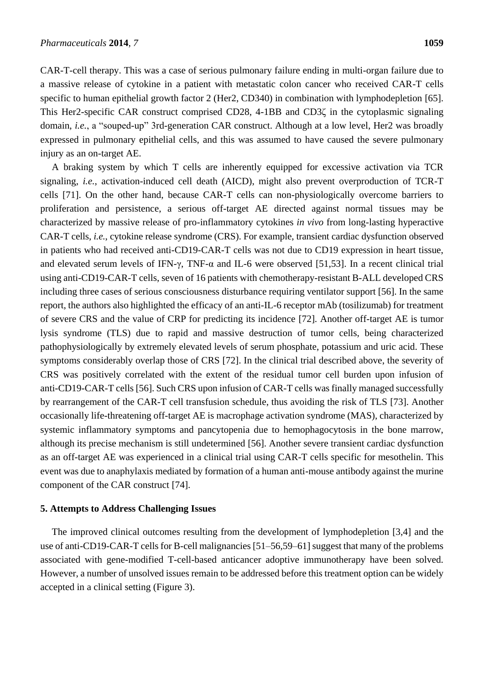CAR-T-cell therapy. This was a case of serious pulmonary failure ending in multi-organ failure due to a massive release of cytokine in a patient with metastatic colon cancer who received CAR-T cells specific to human epithelial growth factor 2 (Her2, CD340) in combination with lymphodepletion [65]. This Her2-specific CAR construct comprised CD28, 4-1BB and CD3ζ in the cytoplasmic signaling domain, *i.e.*, a "souped-up" 3rd-generation CAR construct. Although at a low level, Her2 was broadly expressed in pulmonary epithelial cells, and this was assumed to have caused the severe pulmonary injury as an on-target AE.

A braking system by which T cells are inherently equipped for excessive activation via TCR signaling, *i.e.*, activation-induced cell death (AICD), might also prevent overproduction of TCR-T cells [71]. On the other hand, because CAR-T cells can non-physiologically overcome barriers to proliferation and persistence, a serious off-target AE directed against normal tissues may be characterized by massive release of pro-inflammatory cytokines *in vivo* from long-lasting hyperactive CAR-T cells, *i.e.*, cytokine release syndrome (CRS). For example, transient cardiac dysfunction observed in patients who had received anti-CD19-CAR-T cells was not due to CD19 expression in heart tissue, and elevated serum levels of IFN-γ, TNF-α and IL-6 were observed [51,53]. In a recent clinical trial using anti-CD19-CAR-T cells, seven of 16 patients with chemotherapy-resistant B-ALL developed CRS including three cases of serious consciousness disturbance requiring ventilator support [56]. In the same report, the authors also highlighted the efficacy of an anti-IL-6 receptor mAb (tosilizumab) for treatment of severe CRS and the value of CRP for predicting its incidence [72]. Another off-target AE is tumor lysis syndrome (TLS) due to rapid and massive destruction of tumor cells, being characterized pathophysiologically by extremely elevated levels of serum phosphate, potassium and uric acid. These symptoms considerably overlap those of CRS [72]. In the clinical trial described above, the severity of CRS was positively correlated with the extent of the residual tumor cell burden upon infusion of anti-CD19-CAR-T cells [56]. Such CRS upon infusion of CAR-T cells was finally managed successfully by rearrangement of the CAR-T cell transfusion schedule, thus avoiding the risk of TLS [73]. Another occasionally life-threatening off-target AE is macrophage activation syndrome (MAS), characterized by systemic inflammatory symptoms and pancytopenia due to hemophagocytosis in the bone marrow, although its precise mechanism is still undetermined [56]. Another severe transient cardiac dysfunction as an off-target AE was experienced in a clinical trial using CAR-T cells specific for mesothelin. This event was due to anaphylaxis mediated by formation of a human anti-mouse antibody against the murine component of the CAR construct [74].

#### **5. Attempts to Address Challenging Issues**

The improved clinical outcomes resulting from the development of lymphodepletion [3,4] and the use of anti-CD19-CAR-T cells for B-cell malignancies [51–56,59–61] suggest that many of the problems associated with gene-modified T-cell-based anticancer adoptive immunotherapy have been solved. However, a number of unsolved issues remain to be addressed before this treatment option can be widely accepted in a clinical setting (Figure 3).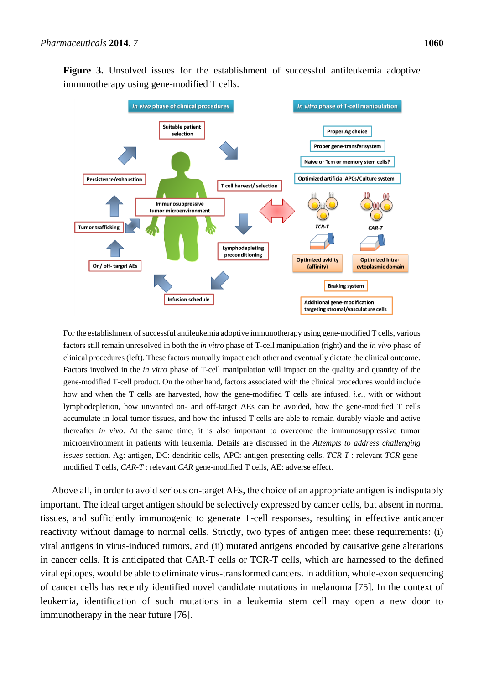**Figure 3.** Unsolved issues for the establishment of successful antileukemia adoptive immunotherapy using gene-modified T cells.



For the establishment of successful antileukemia adoptive immunotherapy using gene-modified T cells, various factors still remain unresolved in both the *in vitro* phase of T-cell manipulation (right) and the *in vivo* phase of clinical procedures (left). These factors mutually impact each other and eventually dictate the clinical outcome. Factors involved in the *in vitro* phase of T-cell manipulation will impact on the quality and quantity of the gene-modified T-cell product. On the other hand, factors associated with the clinical procedures would include how and when the T cells are harvested, how the gene-modified T cells are infused, *i.e.*, with or without lymphodepletion, how unwanted on- and off-target AEs can be avoided, how the gene-modified T cells accumulate in local tumor tissues, and how the infused T cells are able to remain durably viable and active thereafter *in vivo*. At the same time, it is also important to overcome the immunosuppressive tumor microenvironment in patients with leukemia. Details are discussed in the *Attempts to address challenging issues* section. Ag: antigen, DC: dendritic cells, APC: antigen-presenting cells, *TCR-T* : relevant *TCR* genemodified T cells, *CAR-T* : relevant *CAR* gene-modified T cells, AE: adverse effect.

Above all, in order to avoid serious on-target AEs, the choice of an appropriate antigen is indisputably important. The ideal target antigen should be selectively expressed by cancer cells, but absent in normal tissues, and sufficiently immunogenic to generate T-cell responses, resulting in effective anticancer reactivity without damage to normal cells. Strictly, two types of antigen meet these requirements: (i) viral antigens in virus-induced tumors, and (ii) mutated antigens encoded by causative gene alterations in cancer cells. It is anticipated that CAR-T cells or TCR-T cells, which are harnessed to the defined viral epitopes, would be able to eliminate virus-transformed cancers. In addition, whole-exon sequencing of cancer cells has recently identified novel candidate mutations in melanoma [75]. In the context of leukemia, identification of such mutations in a leukemia stem cell may open a new door to immunotherapy in the near future [76].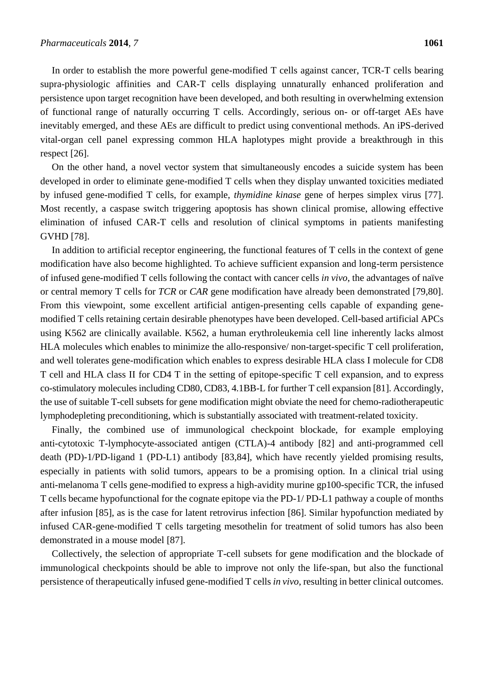In order to establish the more powerful gene-modified T cells against cancer, TCR-T cells bearing supra-physiologic affinities and CAR-T cells displaying unnaturally enhanced proliferation and persistence upon target recognition have been developed, and both resulting in overwhelming extension of functional range of naturally occurring T cells. Accordingly, serious on- or off-target AEs have inevitably emerged, and these AEs are difficult to predict using conventional methods. An iPS-derived vital-organ cell panel expressing common HLA haplotypes might provide a breakthrough in this respect [26].

On the other hand, a novel vector system that simultaneously encodes a suicide system has been developed in order to eliminate gene-modified T cells when they display unwanted toxicities mediated by infused gene-modified T cells, for example, *thymidine kinase* gene of herpes simplex virus [77]. Most recently, a caspase switch triggering apoptosis has shown clinical promise, allowing effective elimination of infused CAR-T cells and resolution of clinical symptoms in patients manifesting GVHD [78].

In addition to artificial receptor engineering, the functional features of T cells in the context of gene modification have also become highlighted. To achieve sufficient expansion and long-term persistence of infused gene-modified T cells following the contact with cancer cells *in vivo*, the advantages of naïve or central memory T cells for *TCR* or *CAR* gene modification have already been demonstrated [79,80]. From this viewpoint, some excellent artificial antigen-presenting cells capable of expanding genemodified T cells retaining certain desirable phenotypes have been developed. Cell-based artificial APCs using K562 are clinically available. K562, a human erythroleukemia cell line inherently lacks almost HLA molecules which enables to minimize the allo-responsive/ non-target-specific T cell proliferation, and well tolerates gene-modification which enables to express desirable HLA class I molecule for CD8 T cell and HLA class II for CD4 T in the setting of epitope-specific T cell expansion, and to express co-stimulatory molecules including CD80, CD83, 4.1BB-L for further T cell expansion [81]. Accordingly, the use of suitable T-cell subsets for gene modification might obviate the need for chemo-radiotherapeutic lymphodepleting preconditioning, which is substantially associated with treatment-related toxicity.

Finally, the combined use of immunological checkpoint blockade, for example employing anti-cytotoxic T-lymphocyte-associated antigen (CTLA)-4 antibody [82] and anti-programmed cell death (PD)-1/PD-ligand 1 (PD-L1) antibody [83,84], which have recently yielded promising results, especially in patients with solid tumors, appears to be a promising option. In a clinical trial using anti-melanoma T cells gene-modified to express a high-avidity murine gp100-specific TCR, the infused T cells became hypofunctional for the cognate epitope via the PD-1/ PD-L1 pathway a couple of months after infusion [85], as is the case for latent retrovirus infection [86]. Similar hypofunction mediated by infused CAR-gene-modified T cells targeting mesothelin for treatment of solid tumors has also been demonstrated in a mouse model [87].

Collectively, the selection of appropriate T-cell subsets for gene modification and the blockade of immunological checkpoints should be able to improve not only the life-span, but also the functional persistence of therapeutically infused gene-modified T cells *in vivo*, resulting in better clinical outcomes.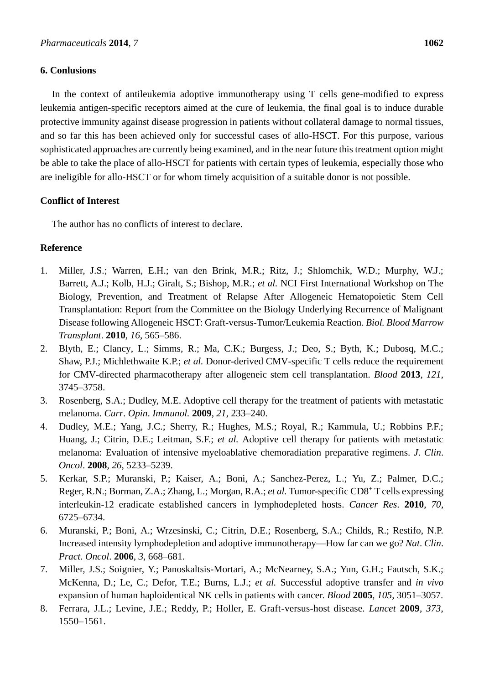## **6. Conlusions**

In the context of antileukemia adoptive immunotherapy using T cells gene-modified to express leukemia antigen-specific receptors aimed at the cure of leukemia, the final goal is to induce durable protective immunity against disease progression in patients without collateral damage to normal tissues, and so far this has been achieved only for successful cases of allo-HSCT. For this purpose, various sophisticated approaches are currently being examined, and in the near future this treatment option might be able to take the place of allo-HSCT for patients with certain types of leukemia, especially those who are ineligible for allo-HSCT or for whom timely acquisition of a suitable donor is not possible.

## **Conflict of Interest**

The author has no conflicts of interest to declare.

## **Reference**

- 1. Miller, J.S.; Warren, E.H.; van den Brink, M.R.; Ritz, J.; Shlomchik, W.D.; Murphy, W.J.; Barrett, A.J.; Kolb, H.J.; Giralt, S.; Bishop, M.R.; *et al.* NCI First International Workshop on The Biology, Prevention, and Treatment of Relapse After Allogeneic Hematopoietic Stem Cell Transplantation: Report from the Committee on the Biology Underlying Recurrence of Malignant Disease following Allogeneic HSCT: Graft-versus-Tumor/Leukemia Reaction. *Biol. Blood Marrow Transplant*. **2010**, *16*, 565–586.
- 2. Blyth, E.; Clancy, L.; Simms, R.; Ma, C.K.; Burgess, J.; Deo, S.; Byth, K.; Dubosq, M.C.; Shaw, P.J.; Michlethwaite K.P.; *et al.* Donor-derived CMV-specific T cells reduce the requirement for CMV-directed pharmacotherapy after allogeneic stem cell transplantation. *Blood* **2013**, *121*, 3745–3758.
- 3. Rosenberg, S.A.; Dudley, M.E. Adoptive cell therapy for the treatment of patients with metastatic melanoma. *Curr*. *Opin*. *Immunol.* **2009**, *21*, 233–240.
- 4. Dudley, M.E.; Yang, J.C.; Sherry, R.; Hughes, M.S.; Royal, R.; Kammula, U.; Robbins P.F.; Huang, J.; Citrin, D.E.; Leitman, S.F.; *et al.* Adoptive cell therapy for patients with metastatic melanoma: Evaluation of intensive myeloablative chemoradiation preparative regimens. *J*. *Clin*. *Oncol*. **2008**, *26*, 5233–5239.
- 5. Kerkar, S.P.; Muranski, P.; Kaiser, A.; Boni, A.; Sanchez-Perez, L.; Yu, Z.; Palmer, D.C.; Reger, R.N.; Borman, Z.A.; Zhang, L.; Morgan, R.A.; *et al.* Tumor-specific CD8<sup>+</sup> T cells expressing interleukin-12 eradicate established cancers in lymphodepleted hosts. *Cancer Res*. **2010**, *70*, 6725–6734.
- 6. Muranski, P.; Boni, A.; Wrzesinski, C.; Citrin, D.E.; Rosenberg, S.A.; Childs, R.; Restifo, N.P. Increased intensity lymphodepletion and adoptive immunotherapy—How far can we go? *Nat*. *Clin*. *Pract*. *Oncol*. **2006**, *3*, 668–681.
- 7. Miller, J.S.; Soignier, Y.; Panoskaltsis-Mortari, A.; McNearney, S.A.; Yun, G.H.; Fautsch, S.K.; McKenna, D.; Le, C.; Defor, T.E.; Burns, L.J.; *et al.* Successful adoptive transfer and *in vivo* expansion of human haploidentical NK cells in patients with cancer. *Blood* **2005**, *105*, 3051–3057.
- 8. Ferrara, J.L.; Levine, J.E.; Reddy, P.; Holler, E. Graft-versus-host disease. *Lancet* **2009**, *373*, 1550–1561.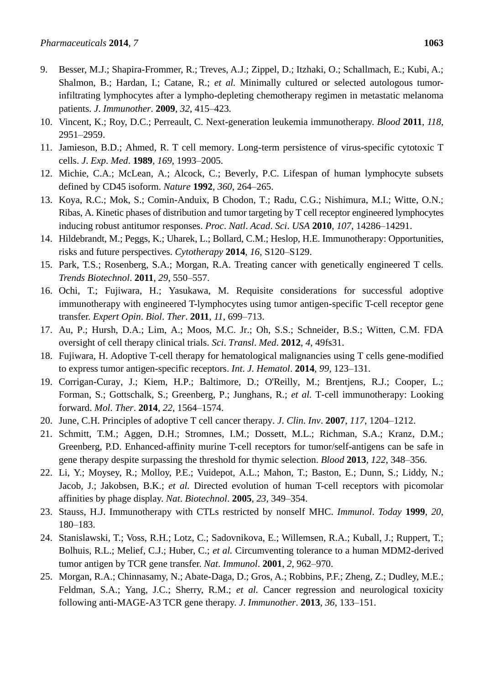- 9. Besser, M.J.; Shapira-Frommer, R.; Treves, A.J.; Zippel, D.; Itzhaki, O.; Schallmach, E.; Kubi, A.; Shalmon, B.; Hardan, I.; Catane, R.; *et al.* Minimally cultured or selected autologous tumorinfiltrating lymphocytes after a lympho-depleting chemotherapy regimen in metastatic melanoma patients. *J*. *Immunother*. **2009**, *32*, 415–423.
- 10. Vincent, K.; Roy, D.C.; Perreault, C. Next-generation leukemia immunotherapy. *Blood* **2011**, *118*, 2951–2959.
- 11. Jamieson, B.D.; Ahmed, R. T cell memory. Long-term persistence of virus-specific cytotoxic T cells. *J*. *Exp*. *Med*. **1989**, *169*, 1993–2005.
- 12. Michie, C.A.; McLean, A.; Alcock, C.; Beverly, P.C. Lifespan of human lymphocyte subsets defined by CD45 isoform. *Nature* **1992**, *360*, 264–265.
- 13. Koya, R.C.; Mok, S.; Comin-Anduix, B Chodon, T.; Radu, C.G.; Nishimura, M.I.; Witte, O.N.; Ribas, A. Kinetic phases of distribution and tumor targeting by T cell receptor engineered lymphocytes inducing robust antitumor responses. *Proc*. *Natl*. *Acad*. *Sci*. *USA* **2010**, *107*, 14286–14291.
- 14. Hildebrandt, M.; Peggs, K.; Uharek, L.; Bollard, C.M.; Heslop, H.E. Immunotherapy: Opportunities, risks and future perspectives. *Cytotherapy* **2014**, *16*, S120–S129.
- 15. Park, T.S.; Rosenberg, S.A.; Morgan, R.A. Treating cancer with genetically engineered T cells. *Trends Biotechnol*. **2011**, *29*, 550–557.
- 16. Ochi, T.; Fujiwara, H.; Yasukawa, M. Requisite considerations for successful adoptive immunotherapy with engineered T-lymphocytes using tumor antigen-specific T-cell receptor gene transfer. *Expert Opin*. *Biol*. *Ther*. **2011**, *11*, 699–713.
- 17. Au, P.; Hursh, D.A.; Lim, A.; Moos, M.C. Jr.; Oh, S.S.; Schneider, B.S.; Witten, C.M. FDA oversight of cell therapy clinical trials. *Sci*. *Transl*. *Med*. **2012**, *4*, 49fs31.
- 18. Fujiwara, H. Adoptive T-cell therapy for hematological malignancies using T cells gene-modified to express tumor antigen-specific receptors. *Int*. *J*. *Hematol*. **2014**, *99*, 123–131.
- 19. Corrigan-Curay, J.; Kiem, H.P.; Baltimore, D.; O'Reilly, M.; Brentjens, R.J.; Cooper, L.; Forman, S.; Gottschalk, S.; Greenberg, P.; Junghans, R.; *et al.* T-cell immunotherapy: Looking forward. *Mol*. *Ther*. **2014**, *22*, 1564–1574.
- 20. June, C.H. Principles of adoptive T cell cancer therapy. *J*. *Clin*. *Inv*. **2007**, *117*, 1204–1212.
- 21. Schmitt, T.M.; Aggen, D.H.; Stromnes, I.M.; Dossett, M.L.; Richman, S.A.; Kranz, D.M.; Greenberg, P.D. Enhanced-affinity murine T-cell receptors for tumor/self-antigens can be safe in gene therapy despite surpassing the threshold for thymic selection. *Blood* **2013**, *122*, 348–356.
- 22. Li, Y.; Moysey, R.; Molloy, P.E.; Vuidepot, A.L.; Mahon, T.; Baston, E.; Dunn, S.; Liddy, N.; Jacob, J.; Jakobsen, B.K.; *et al.* Directed evolution of human T-cell receptors with picomolar affinities by phage display. *Nat*. *Biotechnol*. **2005**, *23*, 349–354.
- 23. Stauss, H.J. Immunotherapy with CTLs restricted by nonself MHC. *Immunol*. *Today* **1999**, *20*, 180–183.
- 24. Stanislawski, T.; Voss, R.H.; Lotz, C.; Sadovnikova, E.; Willemsen, R.A.; Kuball, J.; Ruppert, T.; Bolhuis, R.L.; Melief, C.J.; Huber, C.; *et al.* Circumventing tolerance to a human MDM2-derived tumor antigen by TCR gene transfer. *Nat*. *Immunol*. **2001**, *2*, 962–970.
- 25. Morgan, R.A.; Chinnasamy, N.; Abate-Daga, D.; Gros, A.; Robbins, P.F.; Zheng, Z.; Dudley, M.E.; Feldman, S.A.; Yang, J.C.; Sherry, R.M.; *et al.* Cancer regression and neurological toxicity following anti-MAGE-A3 TCR gene therapy. *J*. *Immunother*. **2013**, *36*, 133–151.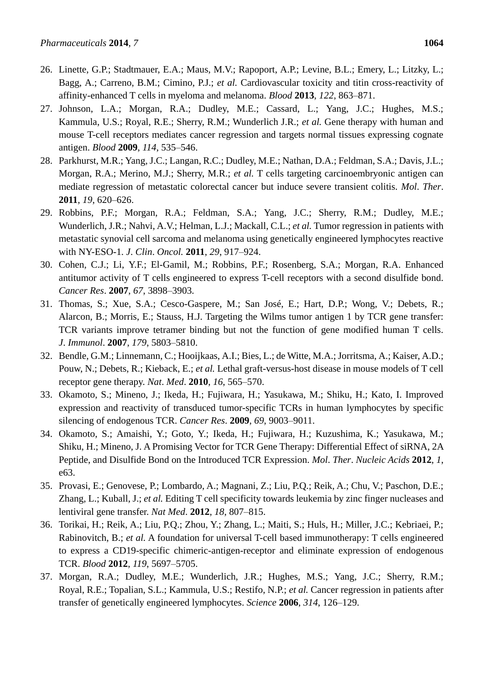- 26. Linette, G.P.; Stadtmauer, E.A.; Maus, M.V.; Rapoport, A.P.; Levine, B.L.; Emery, L.; Litzky, L.; Bagg, A.; Carreno, B.M.; Cimino, P.J.; *et al.* Cardiovascular toxicity and titin cross-reactivity of affinity-enhanced T cells in myeloma and melanoma. *Blood* **2013**, *122*, 863–871.
- 27. Johnson, L.A.; Morgan, R.A.; Dudley, M.E.; Cassard, L.; Yang, J.C.; Hughes, M.S.; Kammula, U.S.; Royal, R.E.; Sherry, R.M.; Wunderlich J.R.; *et al.* Gene therapy with human and mouse T-cell receptors mediates cancer regression and targets normal tissues expressing cognate antigen. *Blood* **2009**, *114*, 535–546.
- 28. Parkhurst, M.R.; Yang, J.C.; Langan, R.C.; Dudley, M.E.; Nathan, D.A.; Feldman, S.A.; Davis, J.L.; Morgan, R.A.; Merino, M.J.; Sherry, M.R.; *et al.* T cells targeting carcinoembryonic antigen can mediate regression of metastatic colorectal cancer but induce severe transient colitis. *Mol*. *Ther*. **2011**, *19*, 620–626.
- 29. Robbins, P.F.; Morgan, R.A.; Feldman, S.A.; Yang, J.C.; Sherry, R.M.; Dudley, M.E.; Wunderlich, J.R.; Nahvi, A.V.; Helman, L.J.; Mackall, C.L.; *et al.* Tumor regression in patients with metastatic synovial cell sarcoma and melanoma using genetically engineered lymphocytes reactive with NY-ESO-1. *J*. *Clin*. *Oncol.* **2011**, *29*, 917–924.
- 30. Cohen, C.J.; Li, Y.F.; El-Gamil, M.; Robbins, P.F.; Rosenberg, S.A.; Morgan, R.A. Enhanced antitumor activity of T cells engineered to express T-cell receptors with a second disulfide bond. *Cancer Res*. **2007**, *67*, 3898–3903.
- 31. Thomas, S.; Xue, S.A.; Cesco-Gaspere, M.; San José, E.; Hart, D.P.; Wong, V.; Debets, R.; Alarcon, B.; Morris, E.; Stauss, H.J. Targeting the Wilms tumor antigen 1 by TCR gene transfer: TCR variants improve tetramer binding but not the function of gene modified human T cells. *J*. *Immunol*. **2007**, *179*, 5803–5810.
- 32. Bendle, G.M.; Linnemann, C.; Hooijkaas, A.I.; Bies, L.; de Witte, M.A.; Jorritsma, A.; Kaiser, A.D.; Pouw, N.; Debets, R.; Kieback, E.; *et al.* Lethal graft-versus-host disease in mouse models of T cell receptor gene therapy. *Nat*. *Med*. **2010**, *16*, 565–570.
- 33. Okamoto, S.; Mineno, J.; Ikeda, H.; Fujiwara, H.; Yasukawa, M.; Shiku, H.; Kato, I. Improved expression and reactivity of transduced tumor-specific TCRs in human lymphocytes by specific silencing of endogenous TCR. *Cancer Res*. **2009**, *69*, 9003–9011.
- 34. Okamoto, S.; Amaishi, Y.; Goto, Y.; Ikeda, H.; Fujiwara, H.; Kuzushima, K.; Yasukawa, M.; Shiku, H.; Mineno, J. A Promising Vector for TCR Gene Therapy: Differential Effect of siRNA, 2A Peptide, and Disulfide Bond on the Introduced TCR Expression. *Mol*. *Ther*. *Nucleic Acids* **2012**, *1*, e63.
- 35. Provasi, E.; Genovese, P.; Lombardo, A.; Magnani, Z.; Liu, P.Q.; Reik, A.; Chu, V.; Paschon, D.E.; Zhang, L.; Kuball, J.; *et al.* Editing T cell specificity towards leukemia by zinc finger nucleases and lentiviral gene transfer. *Nat Med*. **2012**, *18*, 807–815.
- 36. Torikai, H.; Reik, A.; Liu, P.Q.; Zhou, Y.; Zhang, L.; Maiti, S.; Huls, H.; Miller, J.C.; Kebriaei, P.; Rabinovitch, B.; *et al.* A foundation for universal T-cell based immunotherapy: T cells engineered to express a CD19-specific chimeric-antigen-receptor and eliminate expression of endogenous TCR. *Blood* **2012**, *119*, 5697–5705.
- 37. Morgan, R.A.; Dudley, M.E.; Wunderlich, J.R.; Hughes, M.S.; Yang, J.C.; Sherry, R.M.; Royal, R.E.; Topalian, S.L.; Kammula, U.S.; Restifo, N.P.; *et al.* Cancer regression in patients after transfer of genetically engineered lymphocytes. *Science* **2006**, *314*, 126–129.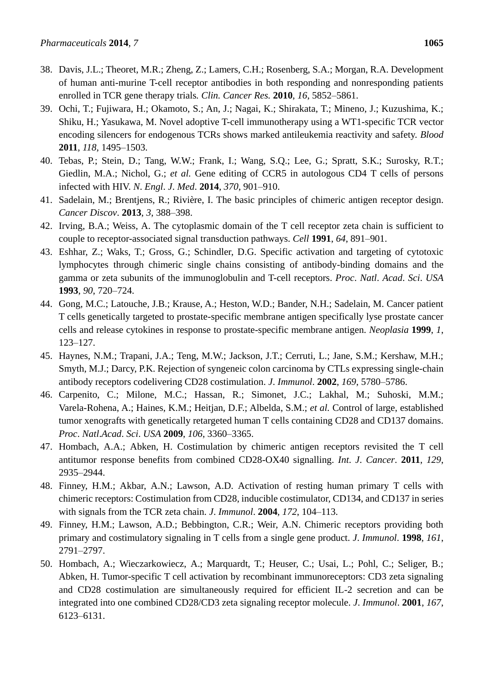- 38. Davis, J.L.; Theoret, M.R.; Zheng, Z.; Lamers, C.H.; Rosenberg, S.A.; Morgan, R.A. Development of human anti-murine T-cell receptor antibodies in both responding and nonresponding patients enrolled in TCR gene therapy trials*. Clin. Cancer Res.* **2010**, *16*, 5852–5861.
- 39. Ochi, T.; Fujiwara, H.; Okamoto, S.; An, J.; Nagai, K.; Shirakata, T.; Mineno, J.; Kuzushima, K.; Shiku, H.; Yasukawa, M. Novel adoptive T-cell immunotherapy using a WT1-specific TCR vector encoding silencers for endogenous TCRs shows marked antileukemia reactivity and safety. *Blood* **2011**, *118*, 1495–1503.
- 40. Tebas, P.; Stein, D.; Tang, W.W.; Frank, I.; Wang, S.Q.; Lee, G.; Spratt, S.K.; Surosky, R.T.; Giedlin, M.A.; Nichol, G.; *et al.* Gene editing of CCR5 in autologous CD4 T cells of persons infected with HIV. *N*. *Engl*. *J*. *Med*. **2014**, *370*, 901–910.
- 41. Sadelain, M.; Brentjens, R.; Rivière, I. The basic principles of chimeric antigen receptor design. *Cancer Discov*. **2013**, *3*, 388–398.
- 42. Irving, B.A.; Weiss, A. The cytoplasmic domain of the T cell receptor zeta chain is sufficient to couple to receptor-associated signal transduction pathways. *Cell* **1991**, *64*, 891–901.
- 43. Eshhar, Z.; Waks, T.; Gross, G.; Schindler, D.G. Specific activation and targeting of cytotoxic lymphocytes through chimeric single chains consisting of antibody-binding domains and the gamma or zeta subunits of the immunoglobulin and T-cell receptors. *Proc*. *Natl*. *Acad*. *Sci*. *USA* **1993**, *90*, 720–724.
- 44. Gong, M.C.; Latouche, J.B.; Krause, A.; Heston, W.D.; Bander, N.H.; Sadelain, M. Cancer patient T cells genetically targeted to prostate-specific membrane antigen specifically lyse prostate cancer cells and release cytokines in response to prostate-specific membrane antigen. *Neoplasia* **1999**, *1*, 123–127.
- 45. Haynes, N.M.; Trapani, J.A.; Teng, M.W.; Jackson, J.T.; Cerruti, L.; Jane, S.M.; Kershaw, M.H.; Smyth, M.J.; Darcy, P.K. Rejection of syngeneic colon carcinoma by CTLs expressing single-chain antibody receptors codelivering CD28 costimulation. *J*. *Immunol*. **2002**, *169*, 5780–5786.
- 46. Carpenito, C.; Milone, M.C.; Hassan, R.; Simonet, J.C.; Lakhal, M.; Suhoski, M.M.; Varela-Rohena, A.; Haines, K.M.; Heitjan, D.F.; Albelda, S.M.; *et al.* Control of large, established tumor xenografts with genetically retargeted human T cells containing CD28 and CD137 domains. *Proc*. *Natl*.*Acad*. *Sci*. *USA* **2009**, *106*, 3360–3365.
- 47. Hombach, A.A.; Abken, H. Costimulation by chimeric antigen receptors revisited the T cell antitumor response benefits from combined CD28-OX40 signalling. *Int*. *J*. *Cancer*. **2011**, *129*, 2935–2944.
- 48. Finney, H.M.; Akbar, A.N.; Lawson, A.D. Activation of resting human primary T cells with chimeric receptors: Costimulation from CD28, inducible costimulator, CD134, and CD137 in series with signals from the TCR zeta chain. *J*. *Immunol*. **2004**, *172*, 104–113.
- 49. Finney, H.M.; Lawson, A.D.; Bebbington, C.R.; Weir, A.N. Chimeric receptors providing both primary and costimulatory signaling in T cells from a single gene product. *J*. *Immunol*. **1998**, *161*, 2791–2797.
- 50. Hombach, A.; Wieczarkowiecz, A.; Marquardt, T.; Heuser, C.; Usai, L.; Pohl, C.; Seliger, B.; Abken, H. Tumor-specific T cell activation by recombinant immunoreceptors: CD3 zeta signaling and CD28 costimulation are simultaneously required for efficient IL-2 secretion and can be integrated into one combined CD28/CD3 zeta signaling receptor molecule. *J*. *Immunol*. **2001**, *167*, 6123–6131.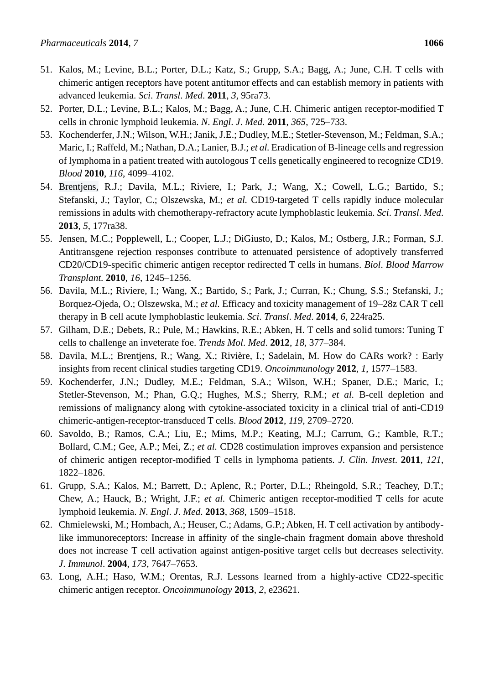- 51. Kalos, M.; Levine, B.L.; Porter, D.L.; Katz, S.; Grupp, S.A.; Bagg, A.; June, C.H. T cells with chimeric antigen receptors have potent antitumor effects and can establish memory in patients with advanced leukemia. *Sci*. *Transl*. *Med*. **2011**, *3*, 95ra73.
- 52. Porter, D.L.; Levine, B.L.; Kalos, M.; Bagg, A.; June, C.H. Chimeric antigen receptor-modified T cells in chronic lymphoid leukemia. *N*. *Engl*. *J*. *Med.* **2011**, *365*, 725–733.
- 53. Kochenderfer, J.N.; Wilson, W.H.; Janik, J.E.; Dudley, M.E.; Stetler-Stevenson, M.; Feldman, S.A.; Maric, I.; Raffeld, M.; Nathan, D.A.; Lanier, B.J.; *et al.* Eradication of B-lineage cells and regression of lymphoma in a patient treated with autologous T cells genetically engineered to recognize CD19. *Blood* **2010**, *116*, 4099–4102.
- 54. Brentjens, R.J.; Davila, M.L.; Riviere, I.; Park, J.; Wang, X.; Cowell, L.G.; Bartido, S.; Stefanski, J.; Taylor, C.; Olszewska, M.; *et al.* CD19-targeted T cells rapidly induce molecular remissions in adults with chemotherapy-refractory acute lymphoblastic leukemia. *Sci*. *Transl*. *Med*. **2013**, *5*, 177ra38.
- 55. Jensen, M.C.; Popplewell, L.; Cooper, L.J.; DiGiusto, D.; Kalos, M.; Ostberg, J.R.; Forman, S.J. Antitransgene rejection responses contribute to attenuated persistence of adoptively transferred CD20/CD19-specific chimeric antigen receptor redirected T cells in humans. *Biol*. *Blood Marrow Transplant.* **2010**, *16*, 1245–1256.
- 56. Davila, M.L.; Riviere, I.; Wang, X.; Bartido, S.; Park, J.; Curran, K.; Chung, S.S.; Stefanski, J.; Borquez-Ojeda, O.; Olszewska, M.; *et al.* Efficacy and toxicity management of 19–28z CAR T cell therapy in B cell acute lymphoblastic leukemia. *Sci*. *Transl*. *Med*. **2014**, *6*, 224ra25.
- 57. Gilham, D.E.; Debets, R.; Pule, M.; Hawkins, R.E.; Abken, H. T cells and solid tumors: Tuning T cells to challenge an inveterate foe. *Trends Mol*. *Med*. **2012**, *18*, 377–384.
- 58. Davila, M.L.; Brentjens, R.; Wang, X.; Rivière, I.; Sadelain, M. How do CARs work? : Early insights from recent clinical studies targeting CD19. *Oncoimmunology* **2012**, *1*, 1577–1583.
- 59. Kochenderfer, J.N.; Dudley, M.E.; Feldman, S.A.; Wilson, W.H.; Spaner, D.E.; Maric, I.; Stetler-Stevenson, M.; Phan, G.Q.; Hughes, M.S.; Sherry, R.M.; *et al.* B-cell depletion and remissions of malignancy along with cytokine-associated toxicity in a clinical trial of anti-CD19 chimeric-antigen-receptor-transduced T cells. *Blood* **2012**, *119*, 2709–2720.
- 60. Savoldo, B.; Ramos, C.A.; Liu, E.; Mims, M.P.; Keating, M.J.; Carrum, G.; Kamble, R.T.; Bollard, C.M.; Gee, A.P.; Mei, Z.; *et al.* CD28 costimulation improves expansion and persistence of chimeric antigen receptor-modified T cells in lymphoma patients. *J. Clin. Invest*. **2011**, *121*, 1822–1826.
- 61. Grupp, S.A.; Kalos, M.; Barrett, D.; Aplenc, R.; Porter, D.L.; Rheingold, S.R.; Teachey, D.T.; Chew, A.; Hauck, B.; Wright, J.F.; *et al.* Chimeric antigen receptor-modified T cells for acute lymphoid leukemia. *N*. *Engl*. *J*. *Med*. **2013**, *368*, 1509–1518.
- 62. Chmielewski, M.; Hombach, A.; Heuser, C.; Adams, G.P.; Abken, H. T cell activation by antibodylike immunoreceptors: Increase in affinity of the single-chain fragment domain above threshold does not increase T cell activation against antigen-positive target cells but decreases selectivity. *J*. *Immunol*. **2004**, *173*, 7647–7653.
- 63. Long, A.H.; Haso, W.M.; Orentas, R.J. Lessons learned from a highly-active CD22-specific chimeric antigen receptor. *Oncoimmunology* **2013**, *2*, e23621.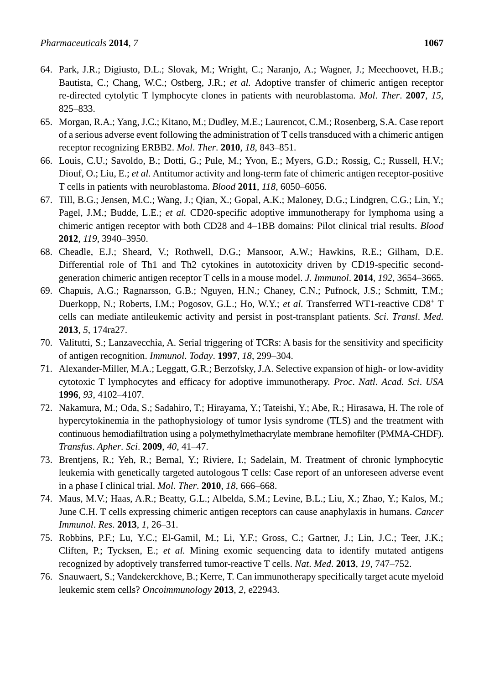- 
- 64. Park, J.R.; Digiusto, D.L.; Slovak, M.; Wright, C.; Naranjo, A.; Wagner, J.; Meechoovet, H.B.; Bautista, C.; Chang, W.C.; Ostberg, J.R.; *et al.* Adoptive transfer of chimeric antigen receptor re-directed cytolytic T lymphocyte clones in patients with neuroblastoma. *Mol*. *Ther*. **2007**, *15*, 825–833.
- 65. Morgan, R.A.; Yang, J.C.; Kitano, M.; Dudley, M.E.; Laurencot, C.M.; Rosenberg, S.A. Case report of a serious adverse event following the administration of T cells transduced with a chimeric antigen receptor recognizing ERBB2. *Mol*. *Ther*. **2010**, *18*, 843–851.
- 66. Louis, C.U.; Savoldo, B.; Dotti, G.; Pule, M.; Yvon, E.; Myers, G.D.; Rossig, C.; Russell, H.V.; Diouf, O.; Liu, E.; *et al.* Antitumor activity and long-term fate of chimeric antigen receptor-positive T cells in patients with neuroblastoma. *Blood* **2011**, *118*, 6050–6056.
- 67. Till, B.G.; Jensen, M.C.; Wang, J.; Qian, X.; Gopal, A.K.; Maloney, D.G.; Lindgren, C.G.; Lin, Y.; Pagel, J.M.; Budde, L.E.; *et al.* CD20-specific adoptive immunotherapy for lymphoma using a chimeric antigen receptor with both CD28 and 4–1BB domains: Pilot clinical trial results. *Blood* **2012**, *119*, 3940–3950.
- 68. Cheadle, E.J.; Sheard, V.; Rothwell, D.G.; Mansoor, A.W.; Hawkins, R.E.; Gilham, D.E. Differential role of Th1 and Th2 cytokines in autotoxicity driven by CD19-specific secondgeneration chimeric antigen receptor T cells in a mouse model. *J. Immunol*. **2014**, *192*, 3654–3665.
- 69. Chapuis, A.G.; Ragnarsson, G.B.; Nguyen, H.N.; Chaney, C.N.; Pufnock, J.S.; Schmitt, T.M.; Duerkopp, N.; Roberts, I.M.; Pogosov, G.L.; Ho, W.Y.; *et al.* Transferred WT1-reactive CD8<sup>+</sup> T cells can mediate antileukemic activity and persist in post-transplant patients. *Sci*. *Transl*. *Med*. **2013**, *5*, 174ra27.
- 70. Valitutti, S.; Lanzavecchia, A. Serial triggering of TCRs: A basis for the sensitivity and specificity of antigen recognition. *Immunol*. *Today*. **1997**, *18*, 299–304.
- 71. Alexander-Miller, M.A.; Leggatt, G.R.; Berzofsky, J.A. Selective expansion of high- or low-avidity cytotoxic T lymphocytes and efficacy for adoptive immunotherapy. *Proc*. *Natl*. *Acad*. *Sci*. *USA* **1996**, *93*, 4102–4107.
- 72. Nakamura, M.; Oda, S.; Sadahiro, T.; Hirayama, Y.; Tateishi, Y.; Abe, R.; Hirasawa, H. The role of hypercytokinemia in the pathophysiology of tumor lysis syndrome (TLS) and the treatment with continuous hemodiafiltration using a polymethylmethacrylate membrane hemofilter (PMMA-CHDF). *Transfus*. *Apher*. *Sci*. **2009**, *40*, 41–47.
- 73. Brentjens, R.; Yeh, R.; Bernal, Y.; Riviere, I.; Sadelain, M. Treatment of chronic lymphocytic leukemia with genetically targeted autologous T cells: Case report of an unforeseen adverse event in a phase I clinical trial. *Mol*. *Ther*. **2010**, *18*, 666–668.
- 74. Maus, M.V.; Haas, A.R.; Beatty, G.L.; Albelda, S.M.; Levine, B.L.; Liu, X.; Zhao, Y.; Kalos, M.; June C.H. T cells expressing chimeric antigen receptors can cause anaphylaxis in humans. *Cancer Immunol*. *Res*. **2013**, *1*, 26–31.
- 75. Robbins, P.F.; Lu, Y.C.; El-Gamil, M.; Li, Y.F.; Gross, C.; Gartner, J.; Lin, J.C.; Teer, J.K.; Cliften, P.; Tycksen, E.; *et al.* Mining exomic sequencing data to identify mutated antigens recognized by adoptively transferred tumor-reactive T cells. *Nat*. *Med*. **2013**, *19*, 747–752.
- 76. Snauwaert, S.; Vandekerckhove, B.; Kerre, T. Can immunotherapy specifically target acute myeloid leukemic stem cells? *Oncoimmunology* **2013**, *2*, e22943.